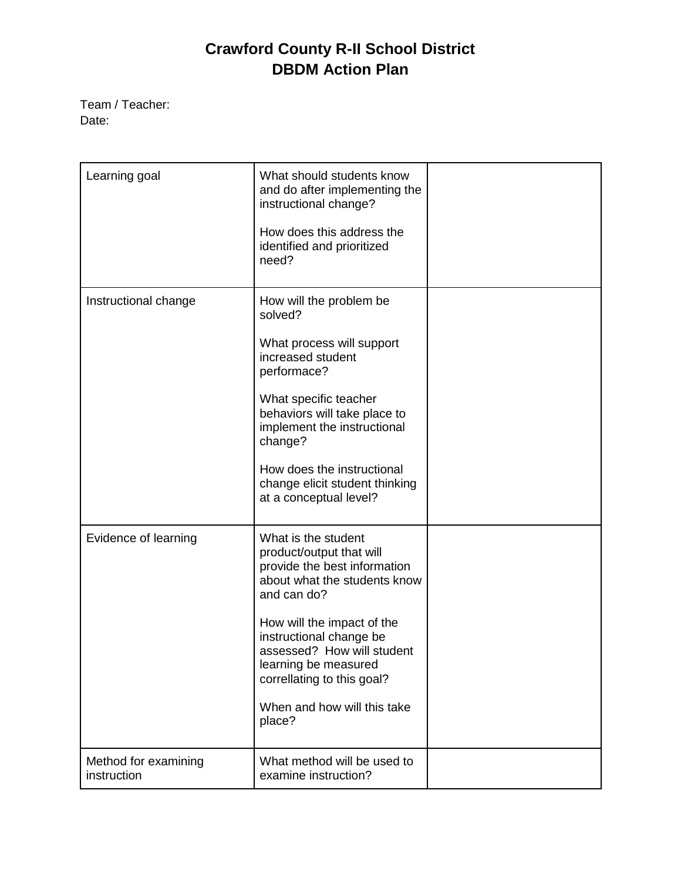## **Crawford County R-II School District DBDM Action Plan**

Team / Teacher: Date:

| Learning goal                       | What should students know<br>and do after implementing the<br>instructional change?<br>How does this address the<br>identified and prioritized<br>need?                                                                                                                                                              |  |
|-------------------------------------|----------------------------------------------------------------------------------------------------------------------------------------------------------------------------------------------------------------------------------------------------------------------------------------------------------------------|--|
| Instructional change                | How will the problem be<br>solved?<br>What process will support<br>increased student<br>performace?<br>What specific teacher<br>behaviors will take place to<br>implement the instructional<br>change?<br>How does the instructional<br>change elicit student thinking<br>at a conceptual level?                     |  |
| Evidence of learning                | What is the student<br>product/output that will<br>provide the best information<br>about what the students know<br>and can do?<br>How will the impact of the<br>instructional change be<br>assessed? How will student<br>learning be measured<br>correllating to this goal?<br>When and how will this take<br>place? |  |
| Method for examining<br>instruction | What method will be used to<br>examine instruction?                                                                                                                                                                                                                                                                  |  |